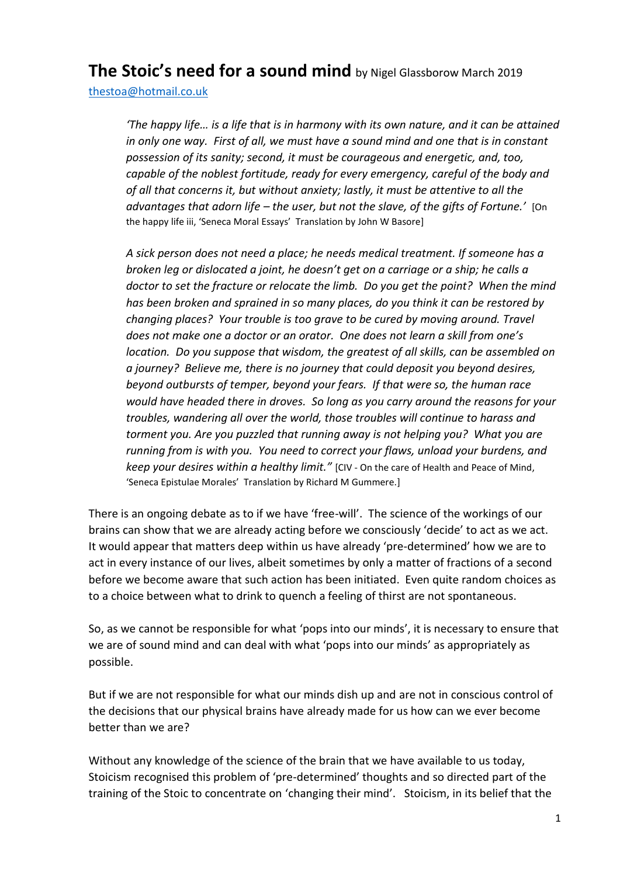## **The Stoic's need for a sound mind** by Nigel Glassborow March <sup>2019</sup>

[thestoa@hotmail.co.uk](mailto:thestoa@hotmail.co.uk) 

*'The happy life… is a life that is in harmony with its own nature, and it can be attained in only one way. First of all, we must have a sound mind and one that is in constant possession of its sanity; second, it must be courageous and energetic, and, too, capable of the noblest fortitude, ready for every emergency, careful of the body and of all that concerns it, but without anxiety; lastly, it must be attentive to all the advantages that adorn life – the user, but not the slave, of the gifts of Fortune.'* [On the happy life iii, 'Seneca Moral Essays' Translation by John W Basore]

*A sick person does not need a place; he needs medical treatment. If someone has a broken leg or dislocated a joint, he doesn't get on a carriage or a ship; he calls a doctor to set the fracture or relocate the limb. Do you get the point? When the mind has been broken and sprained in so many places, do you think it can be restored by changing places? Your trouble is too grave to be cured by moving around. Travel does not make one a doctor or an orator. One does not learn a skill from one's location. Do you suppose that wisdom, the greatest of all skills, can be assembled on a journey? Believe me, there is no journey that could deposit you beyond desires, beyond outbursts of temper, beyond your fears. If that were so, the human race would have headed there in droves. So long as you carry around the reasons for your troubles, wandering all over the world, those troubles will continue to harass and torment you. Are you puzzled that running away is not helping you? What you are running from is with you. You need to correct your flaws, unload your burdens, and keep your desires within a healthy limit."* [CIV - On the care of Health and Peace of Mind, 'Seneca Epistulae Morales' Translation by Richard M Gummere.]

There is an ongoing debate as to if we have 'free-will'. The science of the workings of our brains can show that we are already acting before we consciously 'decide' to act as we act. It would appear that matters deep within us have already 'pre-determined' how we are to act in every instance of our lives, albeit sometimes by only a matter of fractions of a second before we become aware that such action has been initiated. Even quite random choices as to a choice between what to drink to quench a feeling of thirst are not spontaneous.

So, as we cannot be responsible for what 'pops into our minds', it is necessary to ensure that we are of sound mind and can deal with what 'pops into our minds' as appropriately as possible.

But if we are not responsible for what our minds dish up and are not in conscious control of the decisions that our physical brains have already made for us how can we ever become better than we are?

Without any knowledge of the science of the brain that we have available to us today, Stoicism recognised this problem of 'pre-determined' thoughts and so directed part of the training of the Stoic to concentrate on 'changing their mind'. Stoicism, in its belief that the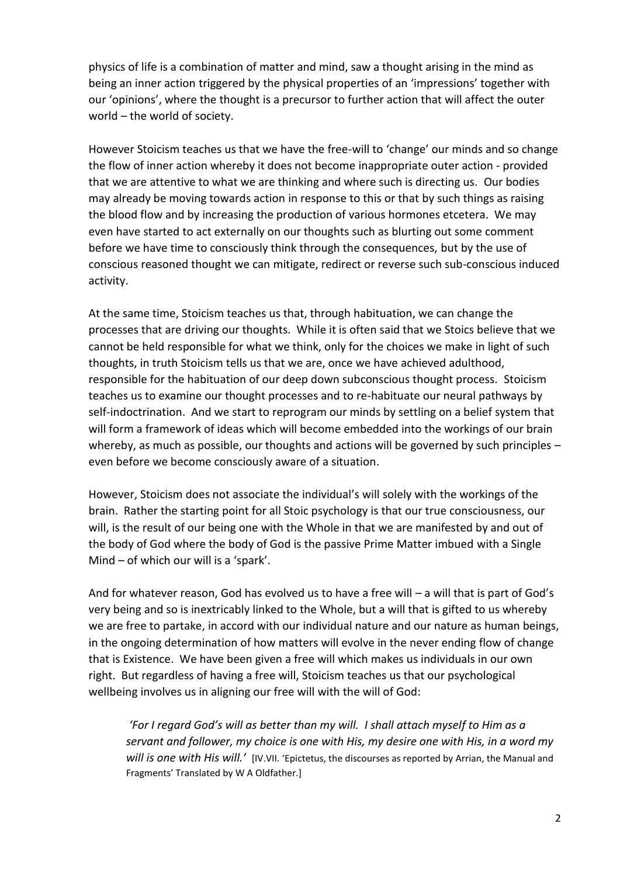physics of life is a combination of matter and mind, saw a thought arising in the mind as being an inner action triggered by the physical properties of an 'impressions' together with our 'opinions', where the thought is a precursor to further action that will affect the outer world – the world of society.

However Stoicism teaches us that we have the free-will to 'change' our minds and so change the flow of inner action whereby it does not become inappropriate outer action - provided that we are attentive to what we are thinking and where such is directing us. Our bodies may already be moving towards action in response to this or that by such things as raising the blood flow and by increasing the production of various hormones etcetera. We may even have started to act externally on our thoughts such as blurting out some comment before we have time to consciously think through the consequences, but by the use of conscious reasoned thought we can mitigate, redirect or reverse such sub-conscious induced activity.

At the same time, Stoicism teaches us that, through habituation, we can change the processes that are driving our thoughts. While it is often said that we Stoics believe that we cannot be held responsible for what we think, only for the choices we make in light of such thoughts, in truth Stoicism tells us that we are, once we have achieved adulthood, responsible for the habituation of our deep down subconscious thought process. Stoicism teaches us to examine our thought processes and to re-habituate our neural pathways by self-indoctrination. And we start to reprogram our minds by settling on a belief system that will form a framework of ideas which will become embedded into the workings of our brain whereby, as much as possible, our thoughts and actions will be governed by such principles even before we become consciously aware of a situation.

However, Stoicism does not associate the individual's will solely with the workings of the brain. Rather the starting point for all Stoic psychology is that our true consciousness, our will, is the result of our being one with the Whole in that we are manifested by and out of the body of God where the body of God is the passive Prime Matter imbued with a Single Mind – of which our will is a 'spark'.

And for whatever reason, God has evolved us to have a free will – a will that is part of God's very being and so is inextricably linked to the Whole, but a will that is gifted to us whereby we are free to partake, in accord with our individual nature and our nature as human beings, in the ongoing determination of how matters will evolve in the never ending flow of change that is Existence. We have been given a free will which makes us individuals in our own right. But regardless of having a free will, Stoicism teaches us that our psychological wellbeing involves us in aligning our free will with the will of God:

*'For I regard God's will as better than my will. I shall attach myself to Him as a servant and follower, my choice is one with His, my desire one with His, in a word my will is one with His will.'* [IV.VII. 'Epictetus, the discourses as reported by Arrian, the Manual and Fragments' Translated by W A Oldfather.]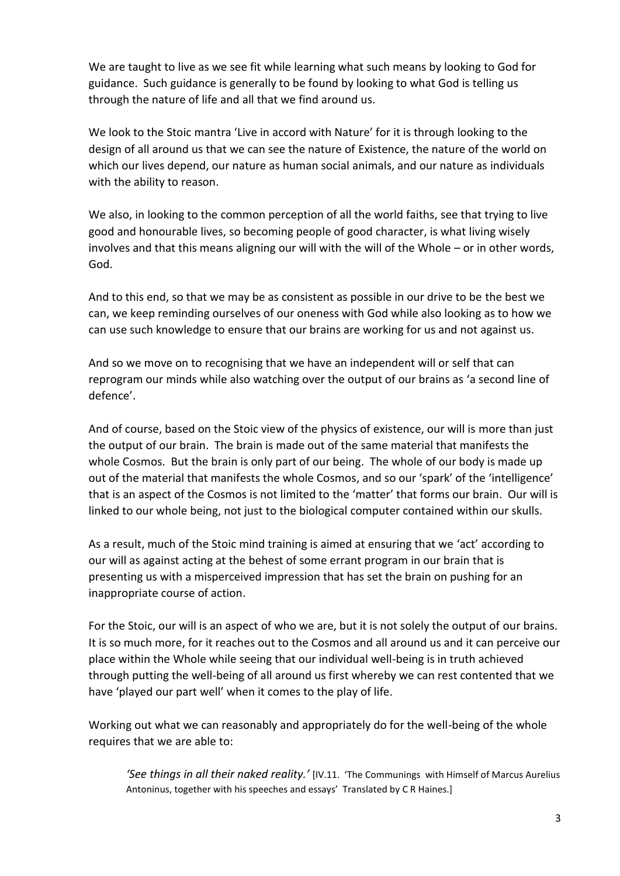We are taught to live as we see fit while learning what such means by looking to God for guidance. Such guidance is generally to be found by looking to what God is telling us through the nature of life and all that we find around us.

We look to the Stoic mantra 'Live in accord with Nature' for it is through looking to the design of all around us that we can see the nature of Existence, the nature of the world on which our lives depend, our nature as human social animals, and our nature as individuals with the ability to reason.

We also, in looking to the common perception of all the world faiths, see that trying to live good and honourable lives, so becoming people of good character, is what living wisely involves and that this means aligning our will with the will of the Whole – or in other words, God.

And to this end, so that we may be as consistent as possible in our drive to be the best we can, we keep reminding ourselves of our oneness with God while also looking as to how we can use such knowledge to ensure that our brains are working for us and not against us.

And so we move on to recognising that we have an independent will or self that can reprogram our minds while also watching over the output of our brains as 'a second line of defence'.

And of course, based on the Stoic view of the physics of existence, our will is more than just the output of our brain. The brain is made out of the same material that manifests the whole Cosmos. But the brain is only part of our being. The whole of our body is made up out of the material that manifests the whole Cosmos, and so our 'spark' of the 'intelligence' that is an aspect of the Cosmos is not limited to the 'matter' that forms our brain. Our will is linked to our whole being, not just to the biological computer contained within our skulls.

As a result, much of the Stoic mind training is aimed at ensuring that we 'act' according to our will as against acting at the behest of some errant program in our brain that is presenting us with a misperceived impression that has set the brain on pushing for an inappropriate course of action.

For the Stoic, our will is an aspect of who we are, but it is not solely the output of our brains. It is so much more, for it reaches out to the Cosmos and all around us and it can perceive our place within the Whole while seeing that our individual well-being is in truth achieved through putting the well-being of all around us first whereby we can rest contented that we have 'played our part well' when it comes to the play of life.

Working out what we can reasonably and appropriately do for the well-being of the whole requires that we are able to:

*'See things in all their naked reality.'* [IV.11. 'The Communings with Himself of Marcus Aurelius Antoninus, together with his speeches and essays' Translated by C R Haines.]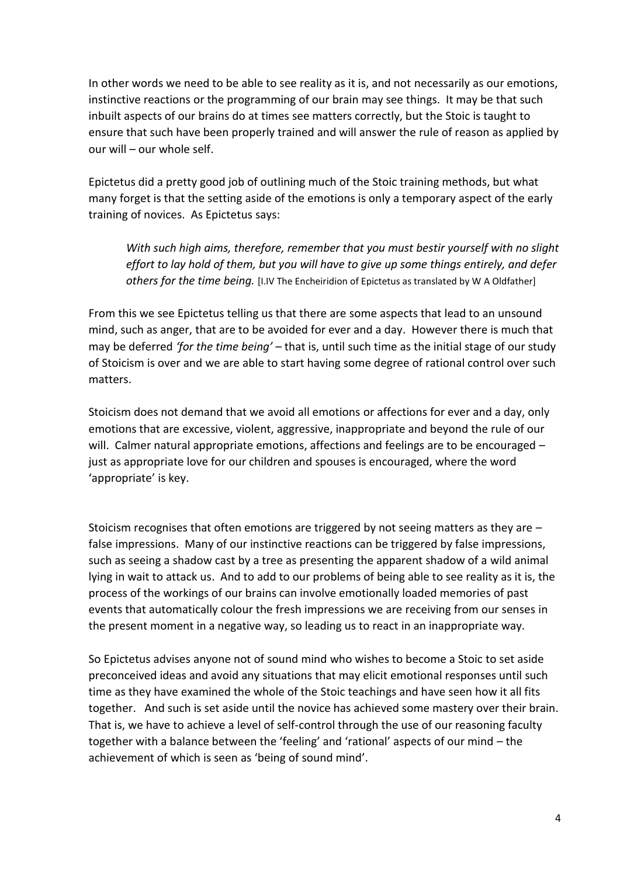In other words we need to be able to see reality as it is, and not necessarily as our emotions, instinctive reactions or the programming of our brain may see things. It may be that such inbuilt aspects of our brains do at times see matters correctly, but the Stoic is taught to ensure that such have been properly trained and will answer the rule of reason as applied by our will – our whole self.

Epictetus did a pretty good job of outlining much of the Stoic training methods, but what many forget is that the setting aside of the emotions is only a temporary aspect of the early training of novices. As Epictetus says:

*With such high aims, therefore, remember that you must bestir yourself with no slight effort to lay hold of them, but you will have to give up some things entirely, and defer others for the time being.* [I.IV The Encheiridion of Epictetus as translated by W A Oldfather]

From this we see Epictetus telling us that there are some aspects that lead to an unsound mind, such as anger, that are to be avoided for ever and a day. However there is much that may be deferred *'for the time being'* – that is, until such time as the initial stage of our study of Stoicism is over and we are able to start having some degree of rational control over such matters.

Stoicism does not demand that we avoid all emotions or affections for ever and a day, only emotions that are excessive, violent, aggressive, inappropriate and beyond the rule of our will. Calmer natural appropriate emotions, affections and feelings are to be encouraged just as appropriate love for our children and spouses is encouraged, where the word 'appropriate' is key.

Stoicism recognises that often emotions are triggered by not seeing matters as they are  $$ false impressions. Many of our instinctive reactions can be triggered by false impressions, such as seeing a shadow cast by a tree as presenting the apparent shadow of a wild animal lying in wait to attack us. And to add to our problems of being able to see reality as it is, the process of the workings of our brains can involve emotionally loaded memories of past events that automatically colour the fresh impressions we are receiving from our senses in the present moment in a negative way, so leading us to react in an inappropriate way.

So Epictetus advises anyone not of sound mind who wishes to become a Stoic to set aside preconceived ideas and avoid any situations that may elicit emotional responses until such time as they have examined the whole of the Stoic teachings and have seen how it all fits together. And such is set aside until the novice has achieved some mastery over their brain. That is, we have to achieve a level of self-control through the use of our reasoning faculty together with a balance between the 'feeling' and 'rational' aspects of our mind – the achievement of which is seen as 'being of sound mind'.